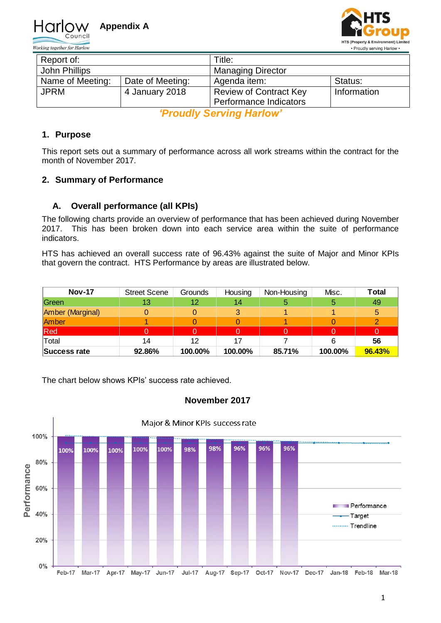



| Report of:       |                  | Title:                        |             |  |  |
|------------------|------------------|-------------------------------|-------------|--|--|
| John Phillips    |                  | <b>Managing Director</b>      |             |  |  |
| Name of Meeting: | Date of Meeting: | Agenda item:                  | Status:     |  |  |
| <b>JPRM</b>      | 4 January 2018   | <b>Review of Contract Key</b> | Information |  |  |
|                  |                  | Performance Indicators        |             |  |  |

*'Proudly Serving Harlow'*

# **1. Purpose**

This report sets out a summary of performance across all work streams within the contract for the month of November 2017.

## **2. Summary of Performance**

## **A. Overall performance (all KPIs)**

The following charts provide an overview of performance that has been achieved during November 2017. This has been broken down into each service area within the suite of performance indicators.

HTS has achieved an overall success rate of 96.43% against the suite of Major and Minor KPIs that govern the contract. HTS Performance by areas are illustrated below.

| <b>Nov-17</b>    | <b>Street Scene</b> | Grounds | Housing | Non-Housing | Misc.   | Total  |
|------------------|---------------------|---------|---------|-------------|---------|--------|
| Green            | 13                  | 12      | 14      |             |         | 49     |
| Amber (Marginal) |                     |         | 2       |             |         | 5      |
| Amber            |                     |         |         |             |         |        |
| Red              |                     | 0.      |         |             |         | 0      |
| Total            | 14                  | 12      |         |             |         | 56     |
| Success rate     | 92.86%              | 100.00% | 100.00% | 85.71%      | 100.00% | 96.43% |

The chart below shows KPIs' success rate achieved.



## **November 2017**